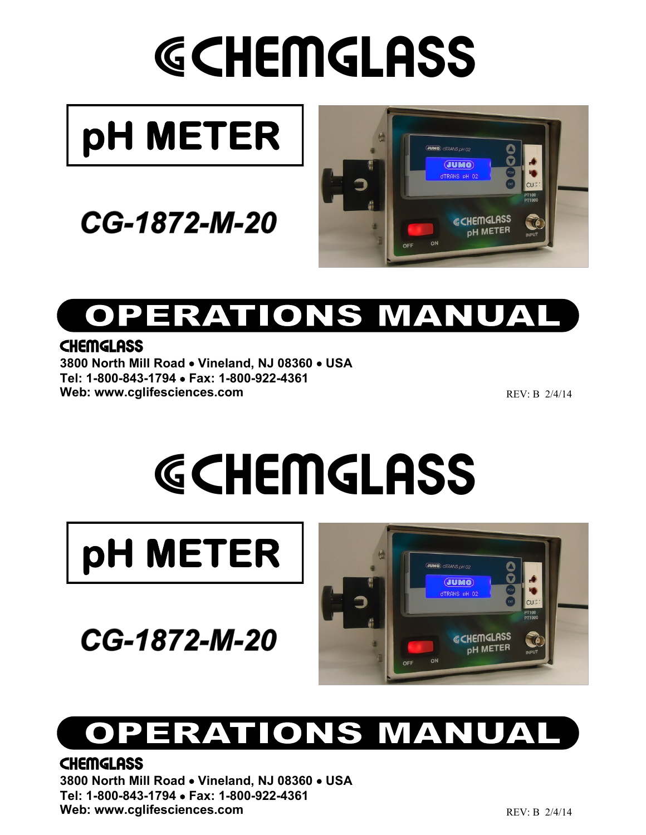# GCHEMGLASS



### CG-1872-M-20



## **OPERATIONS MANUAL**

### **CHEMGLASS**

**3800 North Mill Road** • **Vineland, NJ 08360** • **USA Tel: 1-800-843-1794** • **Fax: 1-800-922-4361** Web: www.cglifesciences.com

REV: B 2/4/14

# GCHEMGLASS



CG-1872-M-20



### **TIONS MANUAL** ERAT

### **CHEMGLASS**

**3800 North Mill Road** • **Vineland, NJ 08360** • **USA Tel: 1-800-843-1794** • **Fax: 1-800-922-4361** Web: www.cglifesciences.com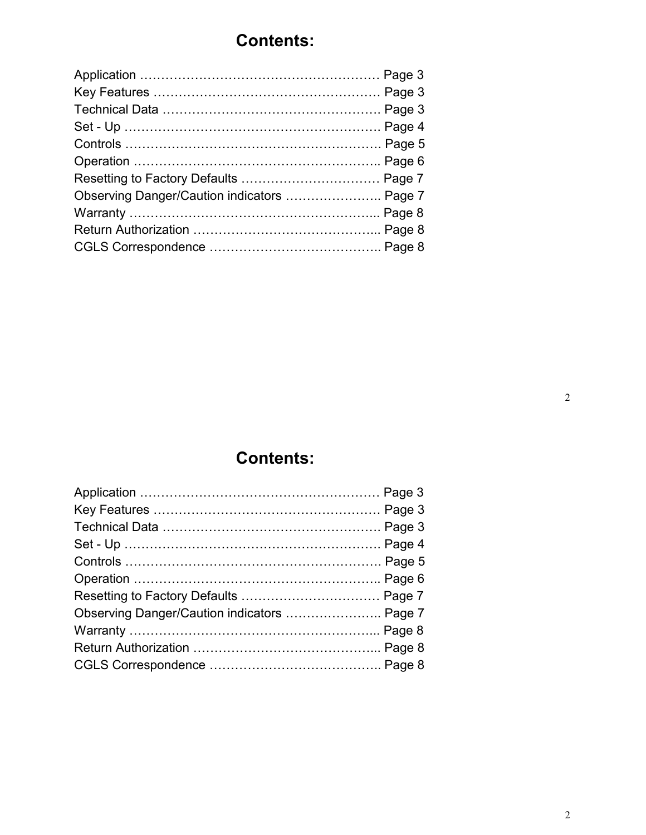### **Contents:**

| Observing Danger/Caution indicators  Page 7 |  |
|---------------------------------------------|--|
|                                             |  |
|                                             |  |
|                                             |  |
|                                             |  |

### **Contents:**

| Observing Danger/Caution indicators  Page 7 |  |
|---------------------------------------------|--|
|                                             |  |
|                                             |  |
|                                             |  |
|                                             |  |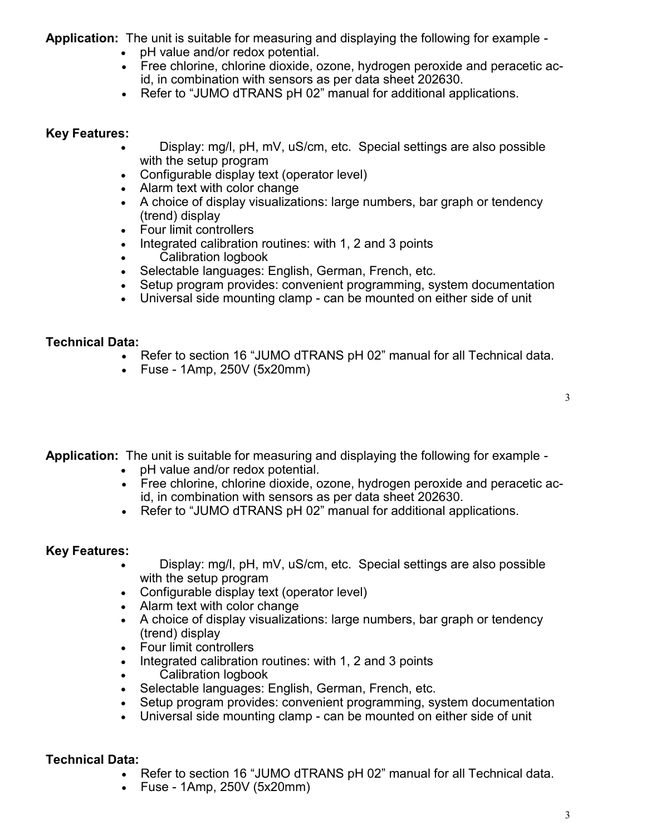**Application:** The unit is suitable for measuring and displaying the following for example -

- pH value and/or redox potential.
- Free chlorine, chlorine dioxide, ozone, hydrogen peroxide and peracetic acid, in combination with sensors as per data sheet 202630.
- Refer to "JUMO dTRANS pH 02" manual for additional applications.

#### **Key Features:**

- Display: mg/l, pH, mV, uS/cm, etc. Special settings are also possible with the setup program
- Configurable display text (operator level)
- Alarm text with color change
- A choice of display visualizations: large numbers, bar graph or tendency (trend) display
- Four limit controllers
- Integrated calibration routines: with 1, 2 and 3 points
- Calibration logbook
- Selectable languages: English, German, French, etc.
- Setup program provides: convenient programming, system documentation
- Universal side mounting clamp can be mounted on either side of unit

### **Technical Data:**

- Refer to section 16 "JUMO dTRANS pH 02" manual for all Technical data.
- Fuse 1Amp, 250V (5x20mm)

**Application:** The unit is suitable for measuring and displaying the following for example -

- pH value and/or redox potential.
- Free chlorine, chlorine dioxide, ozone, hydrogen peroxide and peracetic acid, in combination with sensors as per data sheet 202630.
- Refer to "JUMO dTRANS pH 02" manual for additional applications.

### **Key Features:**

- Display: mg/l, pH, mV, uS/cm, etc. Special settings are also possible with the setup program
- Configurable display text (operator level)
- Alarm text with color change
- A choice of display visualizations: large numbers, bar graph or tendency (trend) display
- Four limit controllers
- Integrated calibration routines: with 1, 2 and 3 points
- Calibration logbook
- Selectable languages: English, German, French, etc.
- Setup program provides: convenient programming, system documentation
- Universal side mounting clamp can be mounted on either side of unit

### **Technical Data:**

- Refer to section 16 "JUMO dTRANS pH 02" manual for all Technical data.
- Fuse 1Amp, 250V (5x20mm)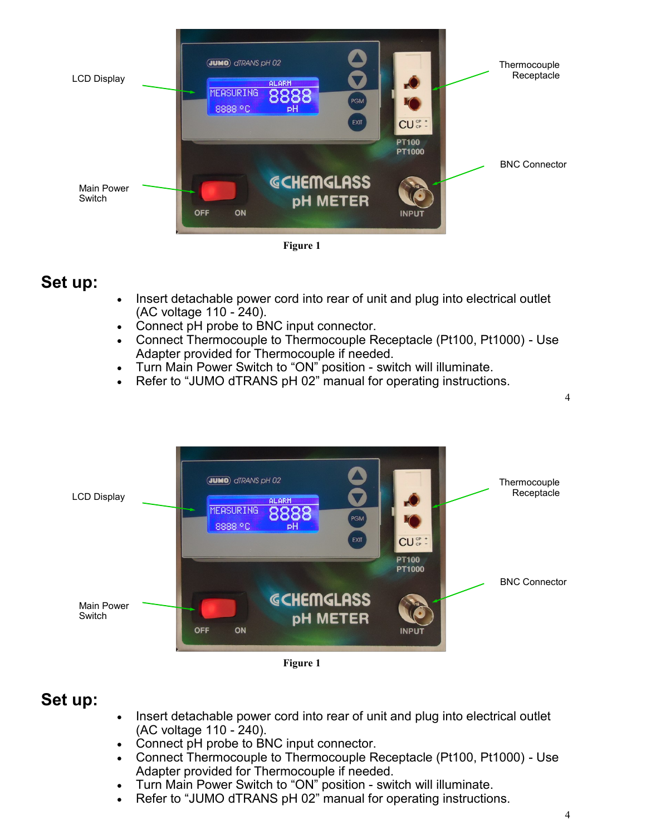

**Figure 1**

### **Set up:**

- Insert detachable power cord into rear of unit and plug into electrical outlet (AC voltage 110 - 240).
- Connect pH probe to BNC input connector.
- Connect Thermocouple to Thermocouple Receptacle (Pt100, Pt1000) Use Adapter provided for Thermocouple if needed.
- Turn Main Power Switch to "ON" position switch will illuminate.
- Refer to "JUMO dTRANS pH 02" manual for operating instructions.



**Figure 1**

### **Set up:**

- Insert detachable power cord into rear of unit and plug into electrical outlet (AC voltage 110 - 240).
- Connect pH probe to BNC input connector.
- Connect Thermocouple to Thermocouple Receptacle (Pt100, Pt1000) Use Adapter provided for Thermocouple if needed.
- Turn Main Power Switch to "ON" position switch will illuminate.
- Refer to "JUMO dTRANS pH 02" manual for operating instructions.

4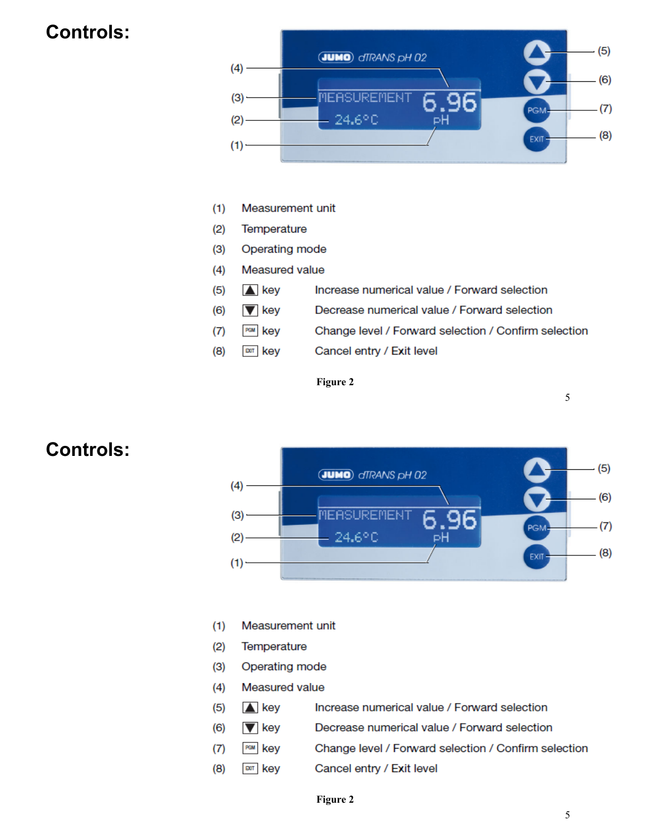### **Controls:**



- $(1)$ Measurement unit
- $(2)$ Temperature

 $(5)$ 

 $(6)$ 

 $(7)$  $(8)$ 

- $(3)$ Operating mode
- Measured value  $(4)$ 
	- $\triangle$  key Increase numerical value / Forward selection
	- $\blacktriangledown$  key Decrease numerical value / Forward selection
	- PGM key Change level / Forward selection / Confirm selection
	- **DOT** key Cancel entry / Exit level

Figure 2



### **Controls:**

- Measurement unit  $(1)$
- Temperature  $(2)$

 $(6)$ 

 $(7)$ 

 $(8)$ 

- $(3)$ Operating mode
- $(4)$ Measured value
- $(5)$  $\triangle$  key Increase numerical value / Forward selection
	- $\blacktriangledown$  key Decrease numerical value / Forward selection
		- PGM key Change level / Forward selection / Confirm selection
		- **DOT key** Cancel entry / Exit level

#### Figure 2

 $\overline{5}$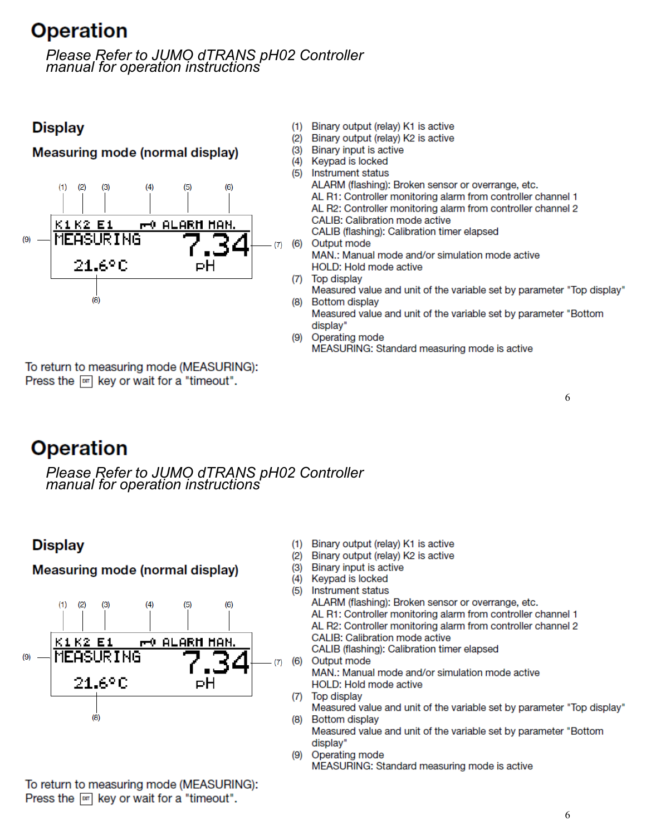### **Operation**

Please Refer to JUMO dTRANS pH02 Controller manual for operation instructions

### **Display**

### **Measuring mode (normal display)**



- $(1)$ Binary output (relay) K1 is active
- $(2)$ Binary output (relay) K2 is active
- $(3)$ Binary input is active
- $(4)$ Keypad is locked  $(5)$ 
	- **Instrument status** ALARM (flashing): Broken sensor or overrange, etc. AL R1: Controller monitoring alarm from controller channel 1 AL R2: Controller monitoring alarm from controller channel 2 **CALIB: Calibration mode active** CALIB (flashing): Calibration timer elapsed
- Output mode  $(6)$ MAN.: Manual mode and/or simulation mode active HOLD: Hold mode active
- (7) Top display
	- Measured value and unit of the variable set by parameter "Top display" (8) Bottom display
		- Measured value and unit of the variable set by parameter "Bottom display"
	- (9) Operating mode MEASURING: Standard measuring mode is active

6

To return to measuring mode (MEASURING): Press the  $\boxed{\circ}$  key or wait for a "timeout".

### **Operation**

Please Refer to JUMO dTRANS pH02 Controller manual for operation instructions

### **Display**

**Measuring mode (normal display)** 



- $(1)$ Binary output (relay) K1 is active
- (2) Binary output (relay) K2 is active
- $(3)$ Binary input is active
- $(4)$ Keypad is locked
- $(5)$ **Instrument status**

ALARM (flashing): Broken sensor or overrange, etc.

- AL R1: Controller monitoring alarm from controller channel 1
- AL R2: Controller monitoring alarm from controller channel 2
- **CALIB: Calibration mode active**

CALIB (flashing): Calibration timer elapsed

- (7) (6) Output mode MAN.: Manual mode and/or simulation mode active HOLD: Hold mode active
	- (7) Top display Measured value and unit of the variable set by parameter "Top display" (8) Bottom display

Measured value and unit of the variable set by parameter "Bottom display"

Operating mode (9) MEASURING: Standard measuring mode is active

To return to measuring mode (MEASURING): Press the  $\boxed{\circ}$  key or wait for a "timeout".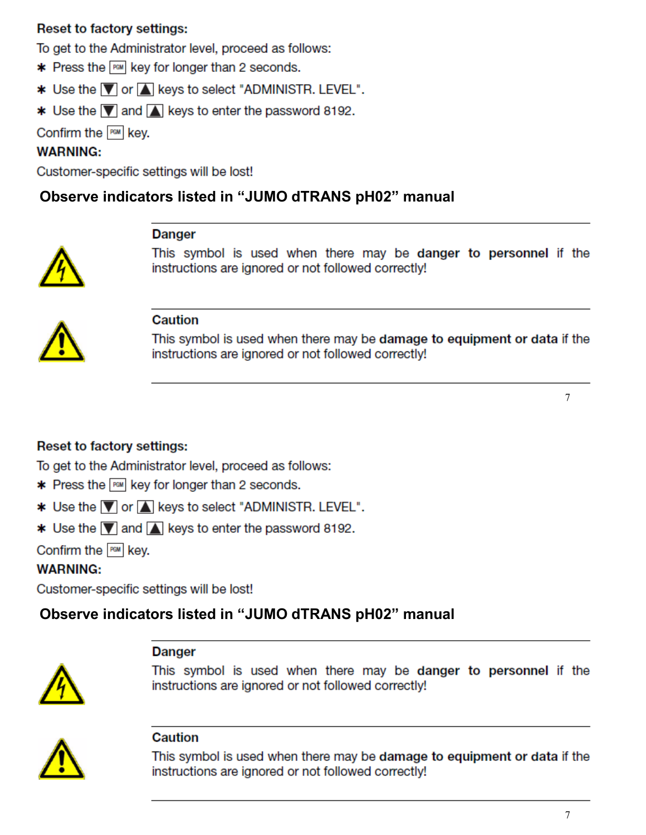### **Reset to factory settings:**

To get to the Administrator level, proceed as follows:

- $*$  Press the  $F^{\text{out}}$  key for longer than 2 seconds.
- **\*** Use the **V** or **A** keys to select "ADMINISTR. LEVEL".
- **\*** Use the  $\boxed{\blacktriangledown}$  and  $\boxed{\blacktriangle}$  keys to enter the password 8192.

Confirm the FEM key.

### **WARNING:**

Customer-specific settings will be lost!

### Observe indicators listed in "JUMO dTRANS pH02" manual

**Danger** 

This symbol is used when there may be danger to personnel if the instructions are ignored or not followed correctly!



### **Caution**

This symbol is used when there may be damage to equipment or data if the instructions are ignored or not followed correctly!

 $\overline{7}$ 

### **Reset to factory settings:**

To get to the Administrator level, proceed as follows:

- **\*** Press the FEM key for longer than 2 seconds.
- **\*** Use the **V** or A keys to select "ADMINISTR. LEVEL".
- **\*** Use the  $\boxed{\blacktriangledown}$  and  $\boxed{\blacktriangle}$  keys to enter the password 8192.

Confirm the FEM key.

### **WARNING:**

Customer-specific settings will be lost!

### Observe indicators listed in "JUMO dTRANS pH02" manual

### **Danger**



This symbol is used when there may be danger to personnel if the instructions are ignored or not followed correctly!



#### Caution

This symbol is used when there may be damage to equipment or data if the instructions are ignored or not followed correctly!